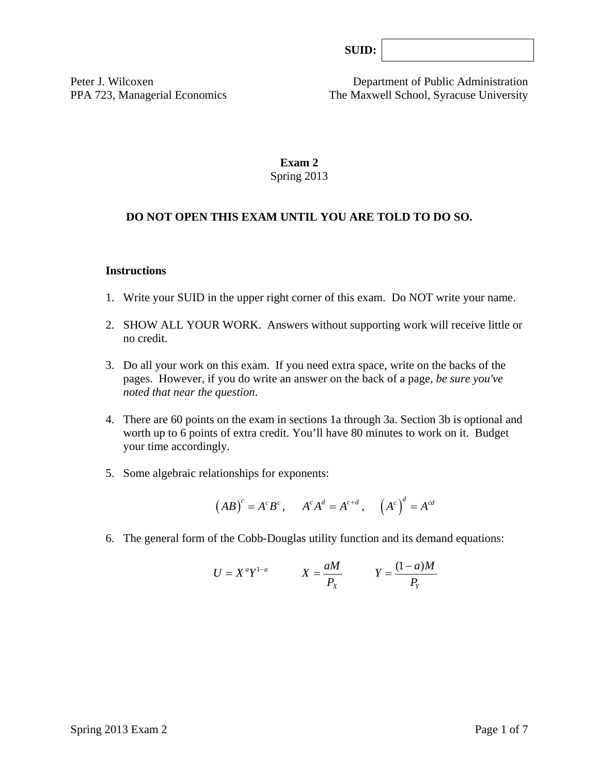| SUB: |  |
|------|--|
|      |  |

Peter J. Wilcoxen Department of Public Administration PPA 723, Managerial Economics The Maxwell School, Syracuse University

# **Exam 2**  Spring 2013

# **DO NOT OPEN THIS EXAM UNTIL YOU ARE TOLD TO DO SO.**

### **Instructions**

- 1. Write your SUID in the upper right corner of this exam. Do NOT write your name.
- 2. SHOW ALL YOUR WORK. Answers without supporting work will receive little or no credit.
- 3. Do all your work on this exam. If you need extra space, write on the backs of the pages. However, if you do write an answer on the back of a page, *be sure you've noted that near the question*.
- 4. There are 60 points on the exam in sections 1a through 3a. Section 3b is optional and worth up to 6 points of extra credit. You'll have 80 minutes to work on it. Budget your time accordingly.
- 5. Some algebraic relationships for exponents:

$$
(AB)^c = A^c B^c
$$
,  $A^c A^d = A^{c+d}$ ,  $(A^c)^d = A^{cd}$ 

6. The general form of the Cobb-Douglas utility function and its demand equations:

$$
U = X^a Y^{1-a} \qquad X = \frac{aM}{P_X} \qquad Y = \frac{(1-a)M}{P_Y}
$$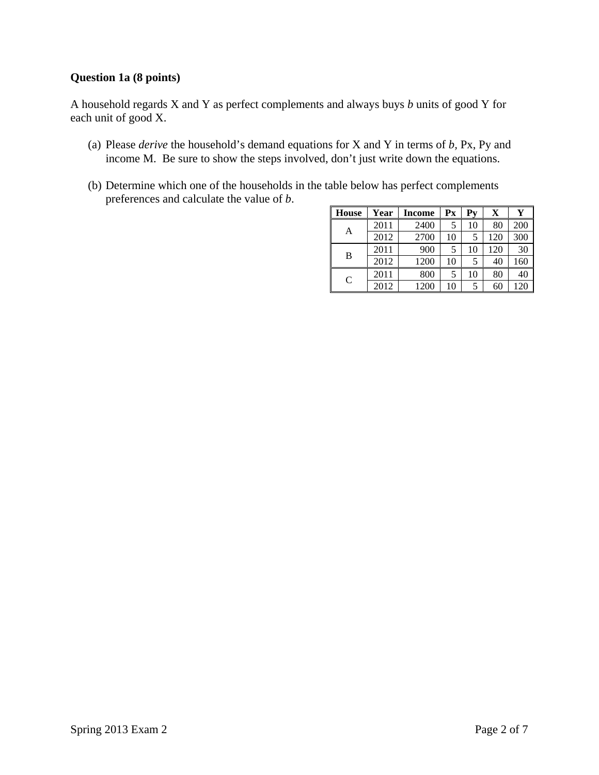## **Question 1a (8 points)**

A household regards X and Y as perfect complements and always buys *b* units of good Y for each unit of good X.

- (a) Please *derive* the household's demand equations for X and Y in terms of *b,* Px, Py and income M. Be sure to show the steps involved, don't just write down the equations.
- (b) Determine which one of the households in the table below has perfect complements preferences and calculate the value of *b*.

| <b>House</b>  | Year | <b>Income</b> | $\mathbf{P} \mathbf{x}$ | $P_{V}$ | X   | Y   |
|---------------|------|---------------|-------------------------|---------|-----|-----|
| A             | 2011 | 2400          | 5                       | 10      | 80  | 200 |
|               | 2012 | 2700          | 10                      | 5       | 120 | 300 |
| B             | 2011 | 900           | 5                       | 10      | 120 | 30  |
|               | 2012 | 1200          | 10                      | 5       | 40  | 160 |
| $\mathcal{C}$ | 2011 | 800           | 5                       | 10      | 80  | 40  |
|               | 2012 | 1200          | 10                      |         | 60  | 120 |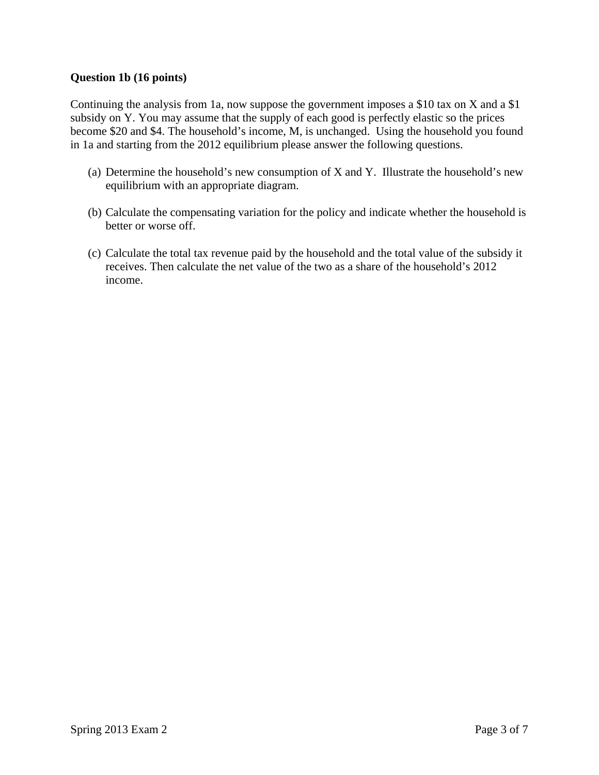### **Question 1b (16 points)**

Continuing the analysis from 1a, now suppose the government imposes a \$10 tax on X and a \$1 subsidy on Y. You may assume that the supply of each good is perfectly elastic so the prices become \$20 and \$4. The household's income, M, is unchanged. Using the household you found in 1a and starting from the 2012 equilibrium please answer the following questions.

- (a) Determine the household's new consumption of X and Y. Illustrate the household's new equilibrium with an appropriate diagram.
- (b) Calculate the compensating variation for the policy and indicate whether the household is better or worse off.
- (c) Calculate the total tax revenue paid by the household and the total value of the subsidy it receives. Then calculate the net value of the two as a share of the household's 2012 income.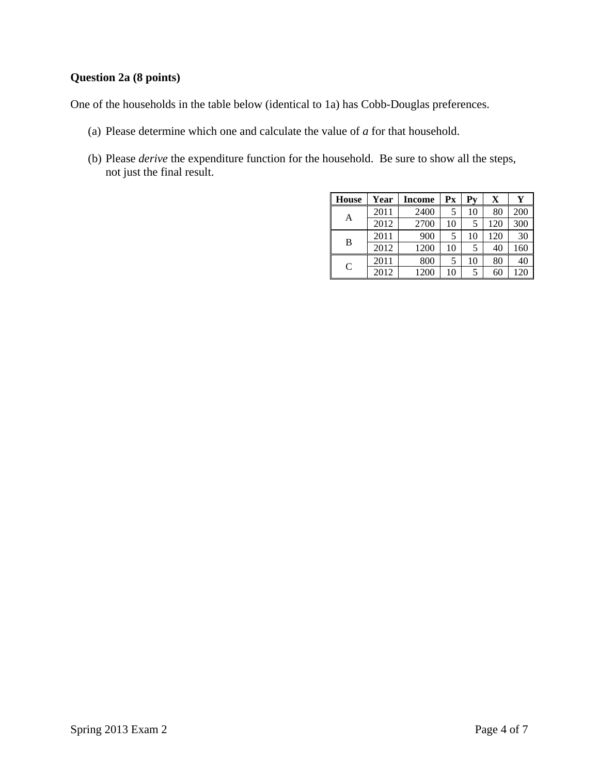# **Question 2a (8 points)**

One of the households in the table below (identical to 1a) has Cobb-Douglas preferences.

- (a) Please determine which one and calculate the value of *a* for that household.
- (b) Please *derive* the expenditure function for the household. Be sure to show all the steps, not just the final result.

| <b>House</b>  | Year | <b>Income</b> | Px | Pv | X   | Y   |
|---------------|------|---------------|----|----|-----|-----|
| Α             | 2011 | 2400          |    | 10 | 80  | 200 |
|               | 2012 | 2700          | 10 | 5  | 120 | 300 |
| В             | 2011 | 900           |    | 10 | 120 | 30  |
|               | 2012 | 1200          | 10 |    | 40  | 160 |
| $\mathcal{C}$ | 2011 | 800           | 5  | 10 | 80  | 40  |
|               | 2012 | 1200          | 10 |    | 60  | 120 |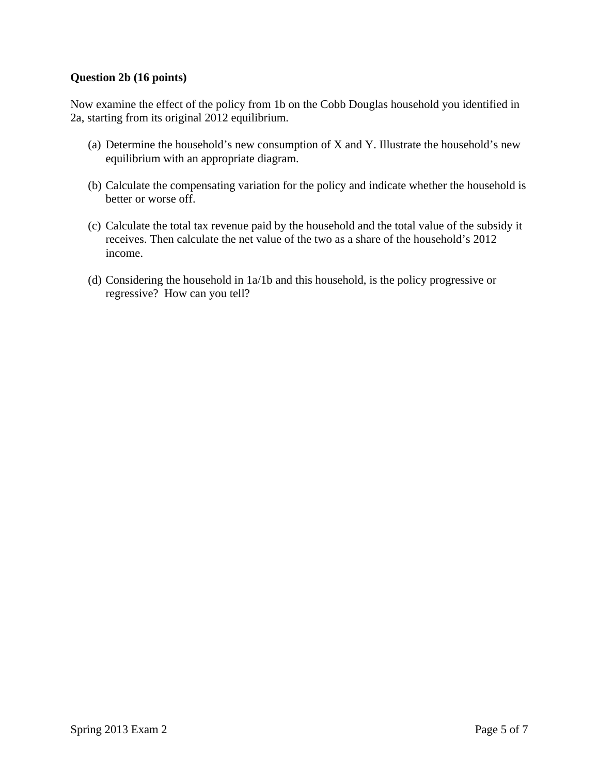### **Question 2b (16 points)**

Now examine the effect of the policy from 1b on the Cobb Douglas household you identified in 2a, starting from its original 2012 equilibrium.

- (a) Determine the household's new consumption of X and Y. Illustrate the household's new equilibrium with an appropriate diagram.
- (b) Calculate the compensating variation for the policy and indicate whether the household is better or worse off.
- (c) Calculate the total tax revenue paid by the household and the total value of the subsidy it receives. Then calculate the net value of the two as a share of the household's 2012 income.
- (d) Considering the household in 1a/1b and this household, is the policy progressive or regressive? How can you tell?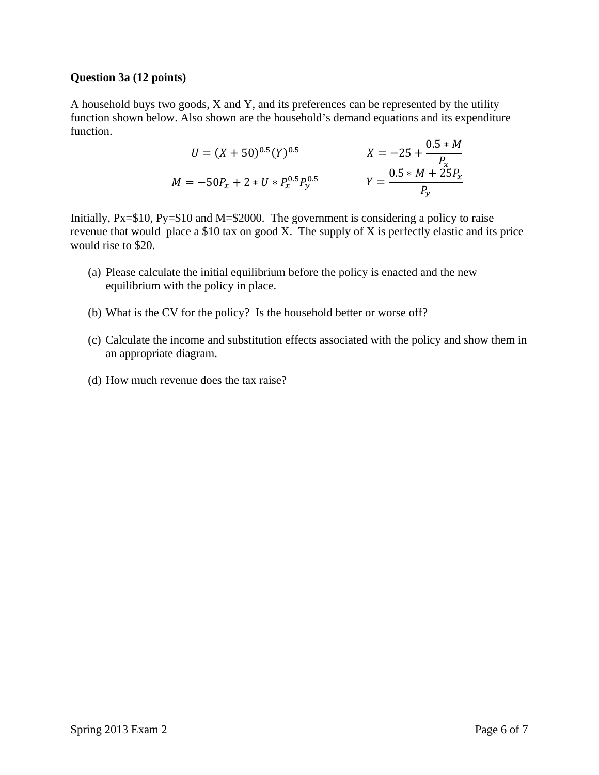#### **Question 3a (12 points)**

A household buys two goods, X and Y, and its preferences can be represented by the utility function shown below. Also shown are the household's demand equations and its expenditure function.

$$
U = (X + 50)^{0.5} (Y)^{0.5}
$$
  
\n
$$
X = -25 + \frac{0.5 * M}{P_x}
$$
  
\n
$$
M = -50P_x + 2 * U * P_x^{0.5} P_y^{0.5}
$$
  
\n
$$
Y = \frac{0.5 * M + 25P_x}{P_y}
$$

Initially, Px=\$10, Py=\$10 and M=\$2000. The government is considering a policy to raise revenue that would place a \$10 tax on good X. The supply of X is perfectly elastic and its price would rise to \$20.

- (a) Please calculate the initial equilibrium before the policy is enacted and the new equilibrium with the policy in place.
- (b) What is the CV for the policy? Is the household better or worse off?
- (c) Calculate the income and substitution effects associated with the policy and show them in an appropriate diagram.
- (d) How much revenue does the tax raise?